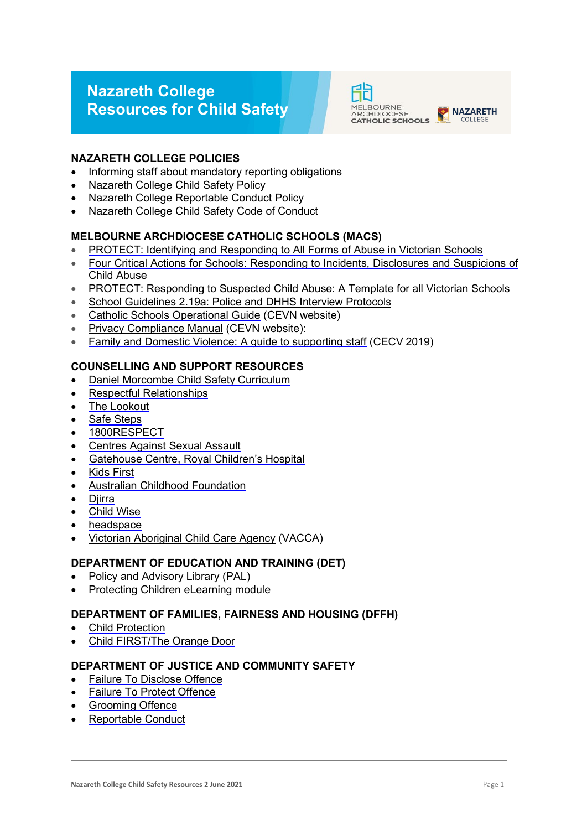# **Nazareth College Resources for Child Safety**



# **NAZARETH COLLEGE POLICIES**

- Informing staff about mandatory reporting obligations
- Nazareth College Child Safety Policy
- Nazareth College Reportable Conduct Policy
- Nazareth College Child Safety Code of Conduct

# **MELBOURNE ARCHDIOCESE CATHOLIC SCHOOLS (MACS)**

- [PROTECT: Identifying and Responding to All Forms of Abuse in Victorian Schools](http://www.education.vic.gov.au/Documents/about/programs/health/protect/ChildSafeStandard5_SchoolsGuide.pdf)
- [Four Critical Actions for Schools: Responding to Incidents, Disclosures and Suspicions of](http://www.education.vic.gov.au/Documents/about/programs/health/protect/FourCriticalActions_ChildAbuse.pdf)  [Child](http://www.education.vic.gov.au/Documents/about/programs/health/protect/FourCriticalActions_ChildAbuse.pdf) [Abuse](http://www.education.vic.gov.au/Documents/about/programs/health/protect/FourCriticalActions_ChildAbuse.pdf)
- [PROTECT: Responding to Suspected Child Abuse: A Template for all Victorian Schools](http://www.education.vic.gov.au/Documents/about/programs/health/protect/PROTECT_Responding_TemplateSchools.pdf)
- [School Guidelines 2.19a: Police and DHHS Interview Protocols](https://www.macs.vic.edu.au/About-Us/Policies/Police-and-DHHS-Interview-Protocols.aspx)
- [Catholic Schools Operational Guide](https://cevn.cecv.catholic.edu.au/Melb/Document-File/CSOG/Index/Catholic-Schools-Operation-Guide.pdf) (CEVN website)
- [Privacy Compliance Manual](https://cevn.cecv.catholic.edu.au/Melb/Document-File/Polices-Compliance-and-Legal/Privacy/Privacy-Compliance-Manual) (CEVN website):
- Family and Domestic Violence: A quide to supporting staff (CECV 2019)

# **COUNSELLING AND SUPPORT RESOURCES**

- [Daniel Morcombe Child Safety](https://danielmorcombe.com.au/wp-content/uploads/2019/02/Daniel_Morcombe_Child_Safety_Curriculum_Access.pdf) Curriculum
- Respectful [Relationships](https://www.education.vic.gov.au/about/programs/Pages/respectfulrelationships.aspx)
- The [Lookout](http://www.thelookout.org.au/)
- [Safe Steps](http://www.safesteps.org.au/)
- [1800RESPECT](http://www.1800respect.org.au/)
- [Centres Against Sexual](http://www.casa.org.au/) Assault
- [Gatehouse Centre, Royal Children's](http://www.rch.org.au/gatehouse/) Hospital
- Kids [First](https://www.kidsfirstaustralia.org.au/)
- [Australian Childhood](http://www.childhood.org.au/) Foundation
- [Djirra](https://djirra.org.au/)
- [Child](http://www.childwise.org.au/) Wise
- [headspace](http://headspace.org.au/)
- [Victorian Aboriginal Child Care Agency](https://www.vacca.org/) (VACCA)

## **DEPARTMENT OF EDUCATION AND TRAINING (DET)**

- [Policy and Advisory Library](https://www2.education.vic.gov.au/pal) (PAL)
- [Protecting Children eLearning](http://www.elearn.com.au/deecd/mandatoryreporting) module

#### **DEPARTMENT OF FAMILIES, FAIRNESS AND HOUSING (DFFH)**

- **Child [Protection](https://services.dhhs.vic.gov.au/child-protection)**
- [Child FIRST/The Orange](https://services.dhhs.vic.gov.au/child-first-and-family-services) Door

# **DEPARTMENT OF JUSTICE AND COMMUNITY SAFETY**

- [Failure To Disclose](https://www.justice.vic.gov.au/safer-communities/protecting-children-and-families/failure-to-disclose-offence) Offence
- **[Failure To Protect](https://www.justice.vic.gov.au/safer-communities/protecting-children-and-families/failure-to-protect-a-new-criminal-offence-to) Offence**
- [Grooming](https://www.justice.vic.gov.au/safer-communities/protecting-children-and-families/grooming-offence) Offence
- [Reportable](https://www.justice.vic.gov.au/about-the-department/the-department-of-justice-and-community-safety-and-the-reportable-conduct) Conduct